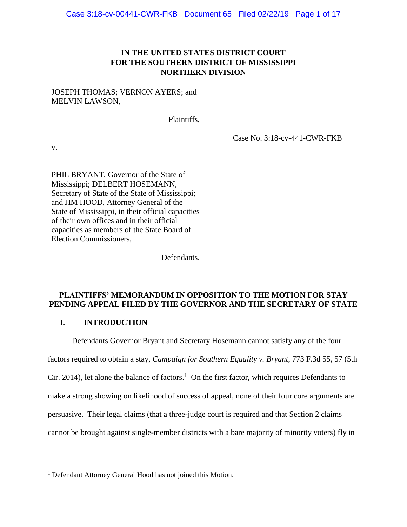# **IN THE UNITED STATES DISTRICT COURT FOR THE SOUTHERN DISTRICT OF MISSISSIPPI NORTHERN DIVISION**

Case No. 3:18-cv-441-CWR-FKB

### JOSEPH THOMAS; VERNON AYERS; and MELVIN LAWSON,

Plaintiffs,

v.

 $\overline{a}$ 

PHIL BRYANT, Governor of the State of Mississippi; DELBERT HOSEMANN, Secretary of State of the State of Mississippi; and JIM HOOD, Attorney General of the State of Mississippi, in their official capacities of their own offices and in their official capacities as members of the State Board of Election Commissioners,

Defendants.

### **PLAINTIFFS' MEMORANDUM IN OPPOSITION TO THE MOTION FOR STAY PENDING APPEAL FILED BY THE GOVERNOR AND THE SECRETARY OF STATE**

### **I. INTRODUCTION**

Defendants Governor Bryant and Secretary Hosemann cannot satisfy any of the four factors required to obtain a stay, *Campaign for Southern Equality v. Bryant*, 773 F.3d 55, 57 (5th Cir. 2014), let alone the balance of factors.<sup>1</sup> On the first factor, which requires Defendants to make a strong showing on likelihood of success of appeal, none of their four core arguments are persuasive. Their legal claims (that a three-judge court is required and that Section 2 claims cannot be brought against single-member districts with a bare majority of minority voters) fly in

<sup>&</sup>lt;sup>1</sup> Defendant Attorney General Hood has not joined this Motion.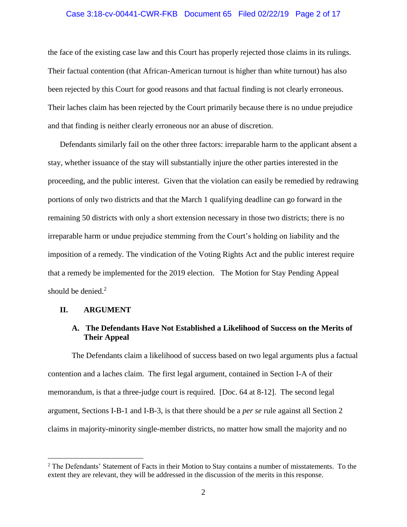## Case 3:18-cv-00441-CWR-FKB Document 65 Filed 02/22/19 Page 2 of 17

the face of the existing case law and this Court has properly rejected those claims in its rulings. Their factual contention (that African-American turnout is higher than white turnout) has also been rejected by this Court for good reasons and that factual finding is not clearly erroneous. Their laches claim has been rejected by the Court primarily because there is no undue prejudice and that finding is neither clearly erroneous nor an abuse of discretion.

Defendants similarly fail on the other three factors: irreparable harm to the applicant absent a stay, whether issuance of the stay will substantially injure the other parties interested in the proceeding, and the public interest. Given that the violation can easily be remedied by redrawing portions of only two districts and that the March 1 qualifying deadline can go forward in the remaining 50 districts with only a short extension necessary in those two districts; there is no irreparable harm or undue prejudice stemming from the Court's holding on liability and the imposition of a remedy. The vindication of the Voting Rights Act and the public interest require that a remedy be implemented for the 2019 election. The Motion for Stay Pending Appeal should be denied. $2$ 

#### **II. ARGUMENT**

 $\overline{a}$ 

### **A. The Defendants Have Not Established a Likelihood of Success on the Merits of Their Appeal**

The Defendants claim a likelihood of success based on two legal arguments plus a factual contention and a laches claim. The first legal argument, contained in Section I-A of their memorandum, is that a three-judge court is required. [Doc. 64 at 8-12]. The second legal argument, Sections I-B-1 and I-B-3, is that there should be a *per se* rule against all Section 2 claims in majority-minority single-member districts, no matter how small the majority and no

<sup>&</sup>lt;sup>2</sup> The Defendants' Statement of Facts in their Motion to Stay contains a number of misstatements. To the extent they are relevant, they will be addressed in the discussion of the merits in this response.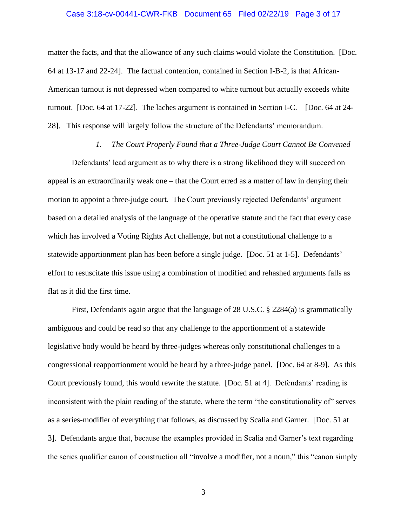#### Case 3:18-cv-00441-CWR-FKB Document 65 Filed 02/22/19 Page 3 of 17

matter the facts, and that the allowance of any such claims would violate the Constitution. [Doc. 64 at 13-17 and 22-24]. The factual contention, contained in Section I-B-2, is that African-American turnout is not depressed when compared to white turnout but actually exceeds white turnout. [Doc. 64 at 17-22]. The laches argument is contained in Section I-C. [Doc. 64 at 24- 28]. This response will largely follow the structure of the Defendants' memorandum.

#### *1. The Court Properly Found that a Three-Judge Court Cannot Be Convened*

Defendants' lead argument as to why there is a strong likelihood they will succeed on appeal is an extraordinarily weak one – that the Court erred as a matter of law in denying their motion to appoint a three-judge court. The Court previously rejected Defendants' argument based on a detailed analysis of the language of the operative statute and the fact that every case which has involved a Voting Rights Act challenge, but not a constitutional challenge to a statewide apportionment plan has been before a single judge. [Doc. 51 at 1-5]. Defendants' effort to resuscitate this issue using a combination of modified and rehashed arguments falls as flat as it did the first time.

First, Defendants again argue that the language of 28 U.S.C. § 2284(a) is grammatically ambiguous and could be read so that any challenge to the apportionment of a statewide legislative body would be heard by three-judges whereas only constitutional challenges to a congressional reapportionment would be heard by a three-judge panel. [Doc. 64 at 8-9]. As this Court previously found, this would rewrite the statute. [Doc. 51 at 4]. Defendants' reading is inconsistent with the plain reading of the statute, where the term "the constitutionality of" serves as a series-modifier of everything that follows, as discussed by Scalia and Garner. [Doc. 51 at 3]. Defendants argue that, because the examples provided in Scalia and Garner's text regarding the series qualifier canon of construction all "involve a modifier, not a noun," this "canon simply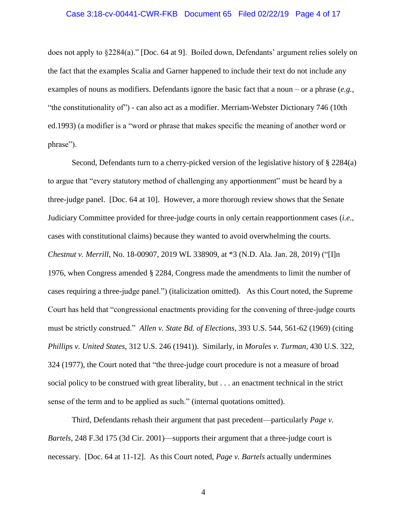# Case 3:18-cv-00441-CWR-FKB Document 65 Filed 02/22/19 Page 4 of 17

does not apply to §2284(a)." [Doc. 64 at 9]. Boiled down, Defendants' argument relies solely on the fact that the examples Scalia and Garner happened to include their text do not include any examples of nouns as modifiers. Defendants ignore the basic fact that a noun – or a phrase (*e.g.,* "the constitutionality of") - can also act as a modifier. Merriam-Webster Dictionary 746 (10th ed.1993) (a modifier is a "word or phrase that makes specific the meaning of another word or phrase").

Second, Defendants turn to a cherry-picked version of the legislative history of § 2284(a) to argue that "every statutory method of challenging any apportionment" must be heard by a three-judge panel. [Doc. 64 at 10]. However, a more thorough review shows that the Senate Judiciary Committee provided for three-judge courts in only certain reapportionment cases (*i.e.,* cases with constitutional claims) because they wanted to avoid overwhelming the courts. *Chestnut v. Merrill*, No. 18-00907, 2019 WL 338909, at \*3 (N.D. Ala. Jan. 28, 2019) ("[I]n 1976, when Congress amended § 2284, Congress made the amendments to limit the number of cases requiring a three-judge panel.") (italicization omitted). As this Court noted, the Supreme Court has held that "congressional enactments providing for the convening of three-judge courts must be strictly construed." *Allen v. State Bd. of Elections*, 393 U.S. 544, 561-62 (1969) (citing *Phillips v. United States*, 312 U.S. 246 (1941)). Similarly, in *Morales v. Turman*, 430 U.S. 322, 324 (1977), the Court noted that "the three-judge court procedure is not a measure of broad social policy to be construed with great liberality, but . . . an enactment technical in the strict sense of the term and to be applied as such." (internal quotations omitted).

Third, Defendants rehash their argument that past precedent—particularly *Page v. Bartels*, 248 F.3d 175 (3d Cir. 2001)—supports their argument that a three-judge court is necessary. [Doc. 64 at 11-12]. As this Court noted, *Page v. Bartels* actually undermines

4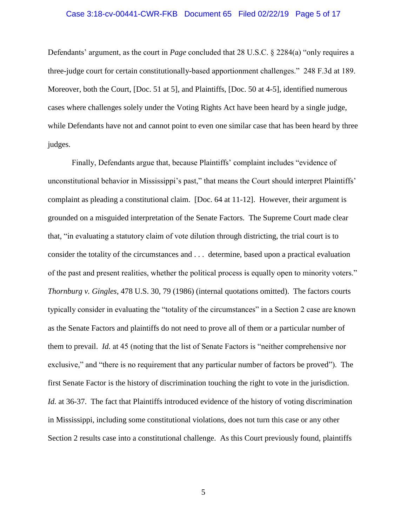# Case 3:18-cv-00441-CWR-FKB Document 65 Filed 02/22/19 Page 5 of 17

Defendants' argument, as the court in *Page* concluded that 28 U.S.C. § 2284(a) "only requires a three-judge court for certain constitutionally-based apportionment challenges." 248 F.3d at 189. Moreover, both the Court, [Doc. 51 at 5], and Plaintiffs, [Doc. 50 at 4-5], identified numerous cases where challenges solely under the Voting Rights Act have been heard by a single judge, while Defendants have not and cannot point to even one similar case that has been heard by three judges.

Finally, Defendants argue that, because Plaintiffs' complaint includes "evidence of unconstitutional behavior in Mississippi's past," that means the Court should interpret Plaintiffs' complaint as pleading a constitutional claim. [Doc. 64 at 11-12]. However, their argument is grounded on a misguided interpretation of the Senate Factors. The Supreme Court made clear that, "in evaluating a statutory claim of vote dilution through districting, the trial court is to consider the totality of the circumstances and . . . determine, based upon a practical evaluation of the past and present realities, whether the political process is equally open to minority voters." *Thornburg v. Gingles*, 478 U.S. 30, 79 (1986) (internal quotations omitted). The factors courts typically consider in evaluating the "totality of the circumstances" in a Section 2 case are known as the Senate Factors and plaintiffs do not need to prove all of them or a particular number of them to prevail. *Id.* at 45 (noting that the list of Senate Factors is "neither comprehensive nor exclusive," and "there is no requirement that any particular number of factors be proved"). The first Senate Factor is the history of discrimination touching the right to vote in the jurisdiction. *Id.* at 36-37. The fact that Plaintiffs introduced evidence of the history of voting discrimination in Mississippi, including some constitutional violations, does not turn this case or any other Section 2 results case into a constitutional challenge. As this Court previously found, plaintiffs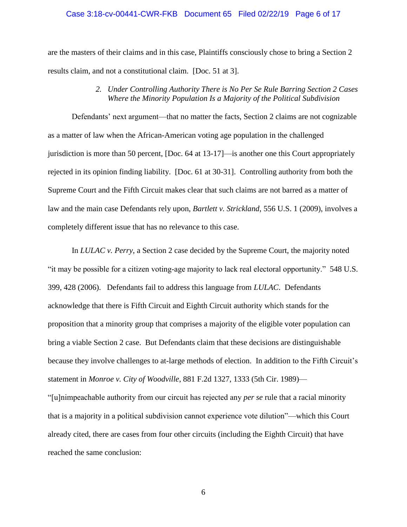#### Case 3:18-cv-00441-CWR-FKB Document 65 Filed 02/22/19 Page 6 of 17

are the masters of their claims and in this case, Plaintiffs consciously chose to bring a Section 2 results claim, and not a constitutional claim. [Doc. 51 at 3].

### *2. Under Controlling Authority There is No Per Se Rule Barring Section 2 Cases Where the Minority Population Is a Majority of the Political Subdivision*

Defendants' next argument—that no matter the facts, Section 2 claims are not cognizable as a matter of law when the African-American voting age population in the challenged jurisdiction is more than 50 percent, [Doc. 64 at 13-17]—is another one this Court appropriately rejected in its opinion finding liability. [Doc. 61 at 30-31]. Controlling authority from both the Supreme Court and the Fifth Circuit makes clear that such claims are not barred as a matter of law and the main case Defendants rely upon, *Bartlett v. Strickland*, 556 U.S. 1 (2009), involves a completely different issue that has no relevance to this case.

In *LULAC v. Perry*, a Section 2 case decided by the Supreme Court, the majority noted "it may be possible for a citizen voting-age majority to lack real electoral opportunity." 548 U.S. 399, 428 (2006). Defendants fail to address this language from *LULAC*. Defendants acknowledge that there is Fifth Circuit and Eighth Circuit authority which stands for the proposition that a minority group that comprises a majority of the eligible voter population can bring a viable Section 2 case. But Defendants claim that these decisions are distinguishable because they involve challenges to at-large methods of election. In addition to the Fifth Circuit's statement in *Monroe v. City of Woodville*, 881 F.2d 1327, 1333 (5th Cir. 1989)—

"[u]nimpeachable authority from our circuit has rejected any *per se* rule that a racial minority that is a majority in a political subdivision cannot experience vote dilution"—which this Court already cited, there are cases from four other circuits (including the Eighth Circuit) that have reached the same conclusion: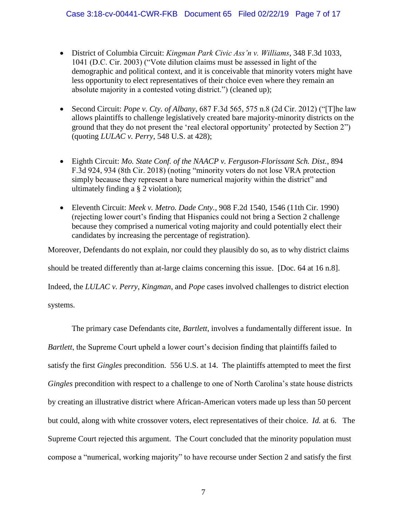- District of Columbia Circuit: *Kingman Park Civic Ass'n v. Williams*, 348 F.3d 1033, 1041 (D.C. Cir. 2003) ("Vote dilution claims must be assessed in light of the demographic and political context, and it is conceivable that minority voters might have less opportunity to elect representatives of their choice even where they remain an absolute majority in a contested voting district.") (cleaned up);
- Second Circuit: *Pope v. Cty. of Albany*, 687 F.3d 565, 575 n.8 (2d Cir. 2012) ("[T]he law allows plaintiffs to challenge legislatively created bare majority-minority districts on the ground that they do not present the 'real electoral opportunity' protected by Section 2") (quoting *LULAC v. Perry*, 548 U.S. at 428);
- Eighth Circuit: *Mo. State Conf. of the NAACP v. Ferguson-Florissant Sch. Dist.*, 894 F.3d 924, 934 (8th Cir. 2018) (noting "minority voters do not lose VRA protection simply because they represent a bare numerical majority within the district" and ultimately finding a § 2 violation);
- Eleventh Circuit: *Meek v. Metro. Dade Cnty.*, 908 F.2d 1540, 1546 (11th Cir. 1990) (rejecting lower court's finding that Hispanics could not bring a Section 2 challenge because they comprised a numerical voting majority and could potentially elect their candidates by increasing the percentage of registration).

Moreover, Defendants do not explain, nor could they plausibly do so, as to why district claims should be treated differently than at-large claims concerning this issue. [Doc. 64 at 16 n.8]. Indeed, the *LULAC v. Perry*, *Kingman*, and *Pope* cases involved challenges to district election systems.

The primary case Defendants cite, *Bartlett*, involves a fundamentally different issue. In *Bartlett*, the Supreme Court upheld a lower court's decision finding that plaintiffs failed to satisfy the first *Gingles* precondition. 556 U.S. at 14. The plaintiffs attempted to meet the first *Gingles* precondition with respect to a challenge to one of North Carolina's state house districts by creating an illustrative district where African-American voters made up less than 50 percent but could, along with white crossover voters, elect representatives of their choice. *Id.* at 6. The Supreme Court rejected this argument. The Court concluded that the minority population must compose a "numerical, working majority" to have recourse under Section 2 and satisfy the first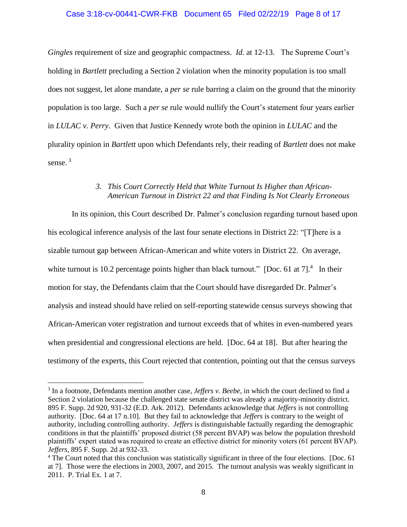### Case 3:18-cv-00441-CWR-FKB Document 65 Filed 02/22/19 Page 8 of 17

*Gingles* requirement of size and geographic compactness. *Id.* at 12-13. The Supreme Court's holding in *Bartlett* precluding a Section 2 violation when the minority population is too small does not suggest, let alone mandate, a *per se* rule barring a claim on the ground that the minority population is too large. Such a *per se* rule would nullify the Court's statement four years earlier in *LULAC v. Perry*. Given that Justice Kennedy wrote both the opinion in *LULAC* and the plurality opinion in *Bartlett* upon which Defendants rely, their reading of *Bartlett* does not make sense. 3

### *3. This Court Correctly Held that White Turnout Is Higher than African-American Turnout in District 22 and that Finding Is Not Clearly Erroneous*

In its opinion, this Court described Dr. Palmer's conclusion regarding turnout based upon his ecological inference analysis of the last four senate elections in District 22: "[T]here is a sizable turnout gap between African-American and white voters in District 22. On average, white turnout is 10.2 percentage points higher than black turnout." [Doc. 61 at 7].<sup>4</sup> In their motion for stay, the Defendants claim that the Court should have disregarded Dr. Palmer's analysis and instead should have relied on self-reporting statewide census surveys showing that African-American voter registration and turnout exceeds that of whites in even-numbered years when presidential and congressional elections are held. [Doc. 64 at 18]. But after hearing the testimony of the experts, this Court rejected that contention, pointing out that the census surveys

<sup>&</sup>lt;sup>3</sup> In a footnote, Defendants mention another case, *Jeffers v. Beebe*, in which the court declined to find a Section 2 violation because the challenged state senate district was already a majority-minority district. 895 F. Supp. 2d 920, 931-32 (E.D. Ark. 2012). Defendants acknowledge that *Jeffers* is not controlling authority. [Doc. 64 at 17 n.10]. But they fail to acknowledge that *Jeffers* is contrary to the weight of authority, including controlling authority. *Jeffers* is distinguishable factually regarding the demographic conditions in that the plaintiffs' proposed district (58 percent BVAP) was below the population threshold plaintiffs' expert stated was required to create an effective district for minority voters (61 percent BVAP). *Jeffers*, 895 F. Supp. 2d at 932-33.

<sup>&</sup>lt;sup>4</sup> The Court noted that this conclusion was statistically significant in three of the four elections. [Doc. 61] at 7]. Those were the elections in 2003, 2007, and 2015. The turnout analysis was weakly significant in 2011. P. Trial Ex. 1 at 7.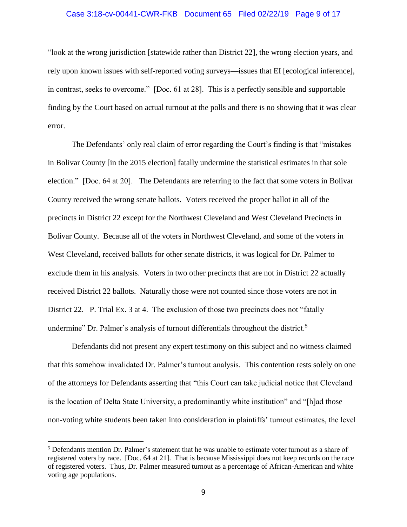## Case 3:18-cv-00441-CWR-FKB Document 65 Filed 02/22/19 Page 9 of 17

"look at the wrong jurisdiction [statewide rather than District 22], the wrong election years, and rely upon known issues with self-reported voting surveys—issues that EI [ecological inference], in contrast, seeks to overcome." [Doc. 61 at 28]. This is a perfectly sensible and supportable finding by the Court based on actual turnout at the polls and there is no showing that it was clear error.

The Defendants' only real claim of error regarding the Court's finding is that "mistakes in Bolivar County [in the 2015 election] fatally undermine the statistical estimates in that sole election." [Doc. 64 at 20]. The Defendants are referring to the fact that some voters in Bolivar County received the wrong senate ballots. Voters received the proper ballot in all of the precincts in District 22 except for the Northwest Cleveland and West Cleveland Precincts in Bolivar County. Because all of the voters in Northwest Cleveland, and some of the voters in West Cleveland, received ballots for other senate districts, it was logical for Dr. Palmer to exclude them in his analysis. Voters in two other precincts that are not in District 22 actually received District 22 ballots. Naturally those were not counted since those voters are not in District 22. P. Trial Ex. 3 at 4. The exclusion of those two precincts does not "fatally" undermine" Dr. Palmer's analysis of turnout differentials throughout the district.<sup>5</sup>

Defendants did not present any expert testimony on this subject and no witness claimed that this somehow invalidated Dr. Palmer's turnout analysis. This contention rests solely on one of the attorneys for Defendants asserting that "this Court can take judicial notice that Cleveland is the location of Delta State University, a predominantly white institution" and "[h]ad those non-voting white students been taken into consideration in plaintiffs' turnout estimates, the level

<sup>5</sup> Defendants mention Dr. Palmer's statement that he was unable to estimate voter turnout as a share of registered voters by race. [Doc. 64 at 21]. That is because Mississippi does not keep records on the race of registered voters. Thus, Dr. Palmer measured turnout as a percentage of African-American and white voting age populations.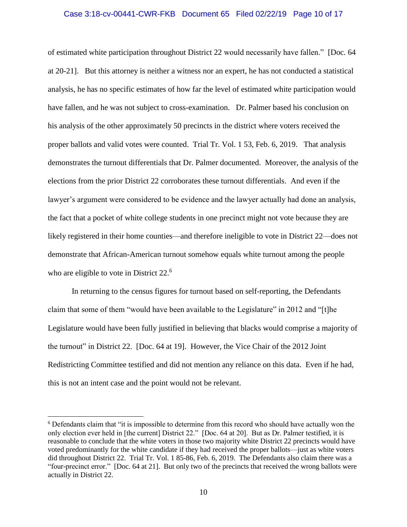#### Case 3:18-cv-00441-CWR-FKB Document 65 Filed 02/22/19 Page 10 of 17

of estimated white participation throughout District 22 would necessarily have fallen." [Doc. 64 at 20-21]. But this attorney is neither a witness nor an expert, he has not conducted a statistical analysis, he has no specific estimates of how far the level of estimated white participation would have fallen, and he was not subject to cross-examination. Dr. Palmer based his conclusion on his analysis of the other approximately 50 precincts in the district where voters received the proper ballots and valid votes were counted. Trial Tr. Vol. 1 53, Feb. 6, 2019. That analysis demonstrates the turnout differentials that Dr. Palmer documented. Moreover, the analysis of the elections from the prior District 22 corroborates these turnout differentials. And even if the lawyer's argument were considered to be evidence and the lawyer actually had done an analysis, the fact that a pocket of white college students in one precinct might not vote because they are likely registered in their home counties—and therefore ineligible to vote in District 22—does not demonstrate that African-American turnout somehow equals white turnout among the people who are eligible to vote in District 22.<sup>6</sup>

In returning to the census figures for turnout based on self-reporting, the Defendants claim that some of them "would have been available to the Legislature" in 2012 and "[t]he Legislature would have been fully justified in believing that blacks would comprise a majority of the turnout" in District 22. [Doc. 64 at 19]. However, the Vice Chair of the 2012 Joint Redistricting Committee testified and did not mention any reliance on this data. Even if he had, this is not an intent case and the point would not be relevant.

<sup>&</sup>lt;sup>6</sup> Defendants claim that "it is impossible to determine from this record who should have actually won the only election ever held in [the current] District 22." [Doc. 64 at 20]. But as Dr. Palmer testified, it is reasonable to conclude that the white voters in those two majority white District 22 precincts would have voted predominantly for the white candidate if they had received the proper ballots—just as white voters did throughout District 22. Trial Tr. Vol. 1 85-86, Feb. 6, 2019. The Defendants also claim there was a "four-precinct error." [Doc. 64 at 21]. But only two of the precincts that received the wrong ballots were actually in District 22.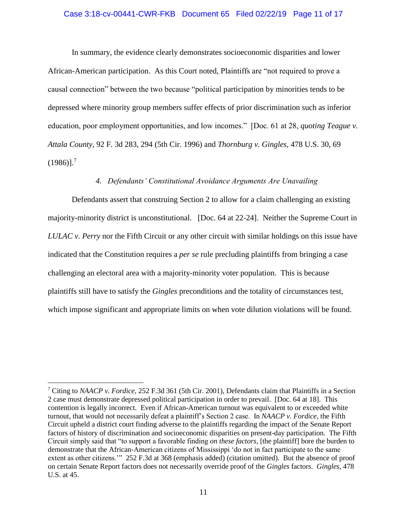#### Case 3:18-cv-00441-CWR-FKB Document 65 Filed 02/22/19 Page 11 of 17

In summary, the evidence clearly demonstrates socioeconomic disparities and lower African-American participation. As this Court noted, Plaintiffs are "not required to prove a causal connection" between the two because "political participation by minorities tends to be depressed where minority group members suffer effects of prior discrimination such as inferior education, poor employment opportunities, and low incomes." [Doc. 61 at 28, *quoting Teague v. Attala County,* 92 F. 3d 283, 294 (5th Cir. 1996) and *Thornburg v. Gingles,* 478 U.S. 30, 69  $(1986)$ ].<sup>7</sup>

### *4. Defendants' Constitutional Avoidance Arguments Are Unavailing*

Defendants assert that construing Section 2 to allow for a claim challenging an existing majority-minority district is unconstitutional. [Doc. 64 at 22-24]. Neither the Supreme Court in *LULAC v. Perry* nor the Fifth Circuit or any other circuit with similar holdings on this issue have indicated that the Constitution requires a *per se* rule precluding plaintiffs from bringing a case challenging an electoral area with a majority-minority voter population. This is because plaintiffs still have to satisfy the *Gingles* preconditions and the totality of circumstances test, which impose significant and appropriate limits on when vote dilution violations will be found.

<sup>7</sup> Citing to *NAACP v. Fordice,* 252 F.3d 361 (5th Cir. 2001), Defendants claim that Plaintiffs in a Section 2 case must demonstrate depressed political participation in order to prevail. [Doc. 64 at 18]. This contention is legally incorrect. Even if African-American turnout was equivalent to or exceeded white turnout, that would not necessarily defeat a plaintiff's Section 2 case. In *NAACP v. Fordice*, the Fifth Circuit upheld a district court finding adverse to the plaintiffs regarding the impact of the Senate Report factors of history of discrimination and socioeconomic disparities on present-day participation. The Fifth Circuit simply said that "to support a favorable finding *on these factors*, [the plaintiff] bore the burden to demonstrate that the African-American citizens of Mississippi 'do not in fact participate to the same extent as other citizens.'" 252 F.3d at 368 (emphasis added) (citation omitted). But the absence of proof on certain Senate Report factors does not necessarily override proof of the *Gingles* factors. *Gingles,* 478 U.S. at 45.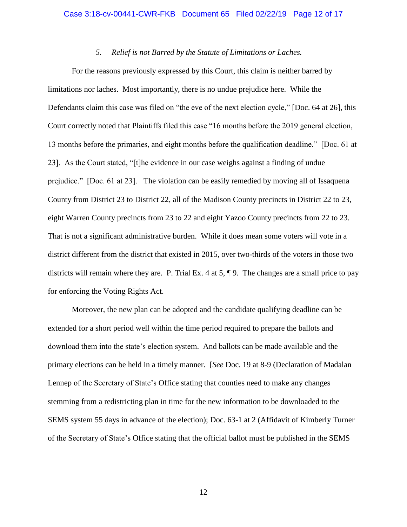### *5. Relief is not Barred by the Statute of Limitations or Laches.*

For the reasons previously expressed by this Court, this claim is neither barred by limitations nor laches. Most importantly, there is no undue prejudice here. While the Defendants claim this case was filed on "the eve of the next election cycle," [Doc. 64 at 26], this Court correctly noted that Plaintiffs filed this case "16 months before the 2019 general election, 13 months before the primaries, and eight months before the qualification deadline." [Doc. 61 at 23]. As the Court stated, "[t]he evidence in our case weighs against a finding of undue prejudice." [Doc. 61 at 23]. The violation can be easily remedied by moving all of Issaquena County from District 23 to District 22, all of the Madison County precincts in District 22 to 23, eight Warren County precincts from 23 to 22 and eight Yazoo County precincts from 22 to 23. That is not a significant administrative burden. While it does mean some voters will vote in a district different from the district that existed in 2015, over two-thirds of the voters in those two districts will remain where they are. P. Trial Ex. 4 at 5, ¶ 9. The changes are a small price to pay for enforcing the Voting Rights Act.

Moreover, the new plan can be adopted and the candidate qualifying deadline can be extended for a short period well within the time period required to prepare the ballots and download them into the state's election system. And ballots can be made available and the primary elections can be held in a timely manner. [*See* Doc. 19 at 8-9 (Declaration of Madalan Lennep of the Secretary of State's Office stating that counties need to make any changes stemming from a redistricting plan in time for the new information to be downloaded to the SEMS system 55 days in advance of the election); Doc. 63-1 at 2 (Affidavit of Kimberly Turner of the Secretary of State's Office stating that the official ballot must be published in the SEMS

12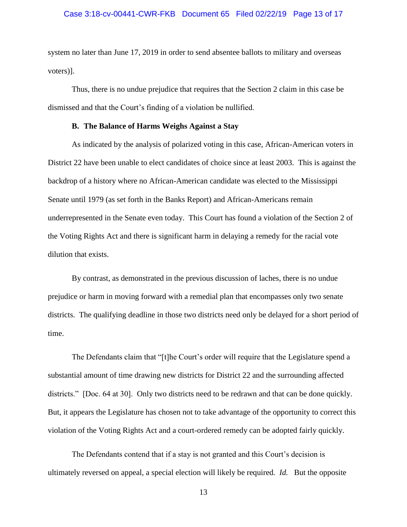#### Case 3:18-cv-00441-CWR-FKB Document 65 Filed 02/22/19 Page 13 of 17

system no later than June 17, 2019 in order to send absentee ballots to military and overseas voters)].

Thus, there is no undue prejudice that requires that the Section 2 claim in this case be dismissed and that the Court's finding of a violation be nullified.

### **B. The Balance of Harms Weighs Against a Stay**

As indicated by the analysis of polarized voting in this case, African-American voters in District 22 have been unable to elect candidates of choice since at least 2003. This is against the backdrop of a history where no African-American candidate was elected to the Mississippi Senate until 1979 (as set forth in the Banks Report) and African-Americans remain underrepresented in the Senate even today. This Court has found a violation of the Section 2 of the Voting Rights Act and there is significant harm in delaying a remedy for the racial vote dilution that exists.

By contrast, as demonstrated in the previous discussion of laches, there is no undue prejudice or harm in moving forward with a remedial plan that encompasses only two senate districts. The qualifying deadline in those two districts need only be delayed for a short period of time.

The Defendants claim that "[t]he Court's order will require that the Legislature spend a substantial amount of time drawing new districts for District 22 and the surrounding affected districts." [Doc. 64 at 30]. Only two districts need to be redrawn and that can be done quickly. But, it appears the Legislature has chosen not to take advantage of the opportunity to correct this violation of the Voting Rights Act and a court-ordered remedy can be adopted fairly quickly.

The Defendants contend that if a stay is not granted and this Court's decision is ultimately reversed on appeal, a special election will likely be required*. Id.* But the opposite

13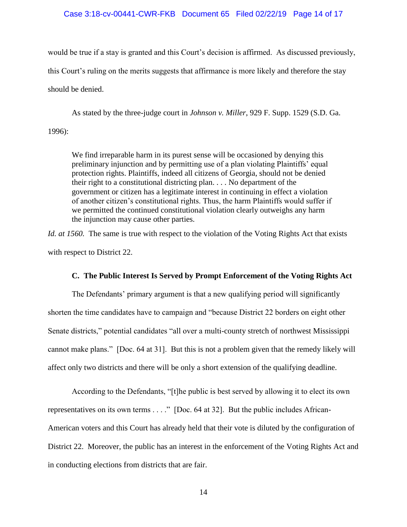### Case 3:18-cv-00441-CWR-FKB Document 65 Filed 02/22/19 Page 14 of 17

would be true if a stay is granted and this Court's decision is affirmed. As discussed previously, this Court's ruling on the merits suggests that affirmance is more likely and therefore the stay should be denied.

As stated by the three-judge court in *Johnson v. Miller*, 929 F. Supp. 1529 (S.D. Ga. 1996):

We find irreparable harm in its purest sense will be occasioned by denying this preliminary injunction and by permitting use of a plan violating Plaintiffs' equal protection rights. Plaintiffs, indeed all citizens of Georgia, should not be denied their right to a constitutional districting plan. . . . No department of the government or citizen has a legitimate interest in continuing in effect a violation of another citizen's constitutional rights. Thus, the harm Plaintiffs would suffer if we permitted the continued constitutional violation clearly outweighs any harm the injunction may cause other parties.

*Id. at 1560.* The same is true with respect to the violation of the Voting Rights Act that exists with respect to District 22.

### **C. The Public Interest Is Served by Prompt Enforcement of the Voting Rights Act**

The Defendants' primary argument is that a new qualifying period will significantly shorten the time candidates have to campaign and "because District 22 borders on eight other Senate districts," potential candidates "all over a multi-county stretch of northwest Mississippi cannot make plans." [Doc. 64 at 31]. But this is not a problem given that the remedy likely will affect only two districts and there will be only a short extension of the qualifying deadline.

According to the Defendants, "[t]he public is best served by allowing it to elect its own representatives on its own terms . . . ." [Doc. 64 at 32]. But the public includes African-American voters and this Court has already held that their vote is diluted by the configuration of District 22. Moreover, the public has an interest in the enforcement of the Voting Rights Act and in conducting elections from districts that are fair.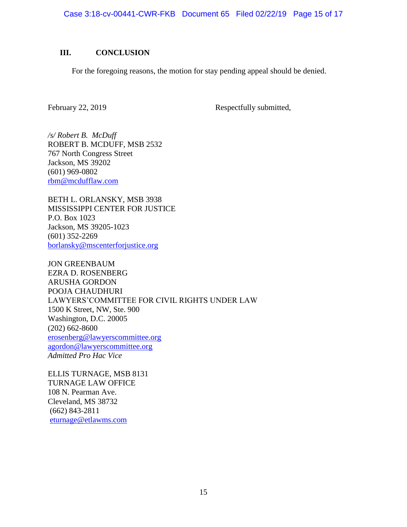Case 3:18-cv-00441-CWR-FKB Document 65 Filed 02/22/19 Page 15 of 17

## **III. CONCLUSION**

For the foregoing reasons, the motion for stay pending appeal should be denied.

February 22, 2019 Respectfully submitted,

*/s/ Robert B. McDuff* ROBERT B. MCDUFF, MSB 2532 767 North Congress Street Jackson, MS 39202 (601) 969-0802 [rbm@mcdufflaw.com](mailto:rbm@mcdufflaw.com)

BETH L. ORLANSKY, MSB 3938 MISSISSIPPI CENTER FOR JUSTICE P.O. Box 1023 Jackson, MS 39205-1023 (601) 352-2269 [borlansky@mscenterforjustice.org](mailto:borlansky@mscenterforjustice.org)

JON GREENBAUM EZRA D. ROSENBERG ARUSHA GORDON POOJA CHAUDHURI LAWYERS'COMMITTEE FOR CIVIL RIGHTS UNDER LAW 1500 K Street, NW, Ste. 900 Washington, D.C. 20005 (202) 662-8600 [erosenberg@lawyerscommittee.org](mailto:erosenberg@lawyerscommittee.org) [agordon@lawyerscommittee.org](mailto:agordon@lawyerscommittee.org) *Admitted Pro Hac Vice*

ELLIS TURNAGE, MSB 8131 TURNAGE LAW OFFICE 108 N. Pearman Ave. Cleveland, MS 38732 (662) 843-2811 [eturnage@etlawms.com](mailto:eturnage@etlawms.com)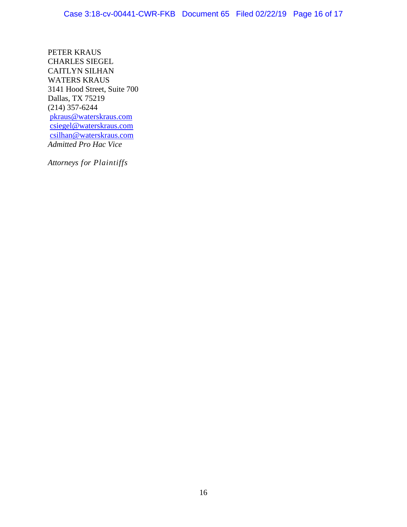PETER KRAUS CHARLES SIEGEL CAITLYN SILHAN WATERS KRAUS 3141 Hood Street, Suite 700 Dallas, TX 75219 (214) 357-6244 [pkraus@waterskraus.com](mailto:pkraus@waterskraus.com) [csiegel@waterskraus.com](mailto:csiegel@waterskraus.com) [csilhan@waterskraus.com](mailto:csilhan@waterskraus.com) *Admitted Pro Hac Vice*

*Attorneys for Plaintiffs*